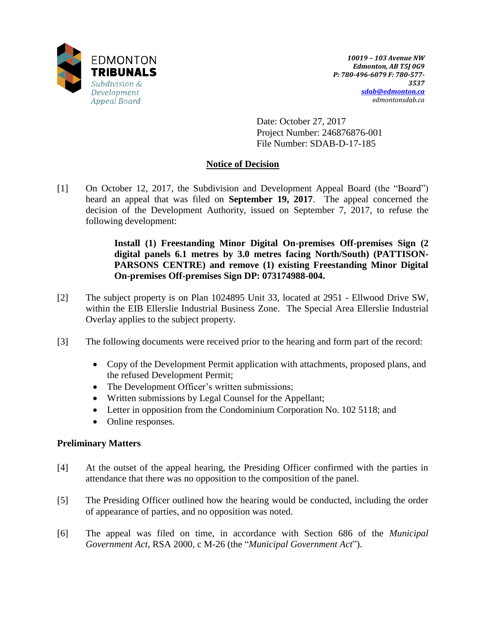

Date: October 27, 2017 Project Number: 246876876-001 File Number: SDAB-D-17-185

# **Notice of Decision**

[1] On October 12, 2017, the Subdivision and Development Appeal Board (the "Board") heard an appeal that was filed on **September 19, 2017**. The appeal concerned the decision of the Development Authority, issued on September 7, 2017, to refuse the following development:

> **Install (1) Freestanding Minor Digital On-premises Off-premises Sign (2 digital panels 6.1 metres by 3.0 metres facing North/South) (PATTISON-PARSONS CENTRE) and remove (1) existing Freestanding Minor Digital On-premises Off-premises Sign DP: 073174988-004.**

- [2] The subject property is on Plan 1024895 Unit 33, located at 2951 Ellwood Drive SW, within the EIB Ellerslie Industrial Business Zone. The Special Area Ellerslie Industrial Overlay applies to the subject property.
- [3] The following documents were received prior to the hearing and form part of the record:
	- Copy of the Development Permit application with attachments, proposed plans, and the refused Development Permit;
	- The Development Officer's written submissions;
	- Written submissions by Legal Counsel for the Appellant;
	- Letter in opposition from the Condominium Corporation No. 102 5118; and
	- Online responses.

## **Preliminary Matters**

- [4] At the outset of the appeal hearing, the Presiding Officer confirmed with the parties in attendance that there was no opposition to the composition of the panel.
- [5] The Presiding Officer outlined how the hearing would be conducted, including the order of appearance of parties, and no opposition was noted.
- [6] The appeal was filed on time, in accordance with Section 686 of the *Municipal Government Act*, RSA 2000, c M-26 (the "*Municipal Government Act*").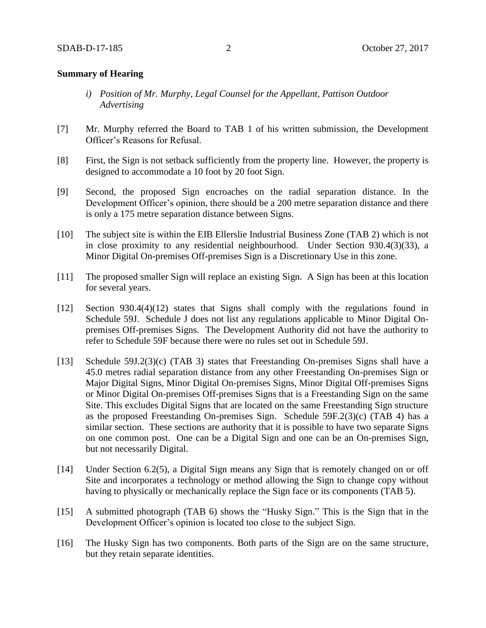#### **Summary of Hearing**

- *i) Position of Mr. Murphy, Legal Counsel for the Appellant, Pattison Outdoor Advertising*
- [7] Mr. Murphy referred the Board to TAB 1 of his written submission, the Development Officer's Reasons for Refusal.
- [8] First, the Sign is not setback sufficiently from the property line. However, the property is designed to accommodate a 10 foot by 20 foot Sign.
- [9] Second, the proposed Sign encroaches on the radial separation distance. In the Development Officer's opinion, there should be a 200 metre separation distance and there is only a 175 metre separation distance between Signs.
- [10] The subject site is within the EIB Ellerslie Industrial Business Zone (TAB 2) which is not in close proximity to any residential neighbourhood. Under Section 930.4(3)(33), a Minor Digital On-premises Off-premises Sign is a Discretionary Use in this zone.
- [11] The proposed smaller Sign will replace an existing Sign. A Sign has been at this location for several years.
- [12] Section 930.4(4)(12) states that Signs shall comply with the regulations found in Schedule 59J. Schedule J does not list any regulations applicable to Minor Digital Onpremises Off-premises Signs. The Development Authority did not have the authority to refer to Schedule 59F because there were no rules set out in Schedule 59J.
- [13] Schedule 59J.2(3)(c) (TAB 3) states that Freestanding On-premises Signs shall have a 45.0 metres radial separation distance from any other Freestanding On-premises Sign or Major Digital Signs, Minor Digital On-premises Signs, Minor Digital Off-premises Signs or Minor Digital On-premises Off-premises Signs that is a Freestanding Sign on the same Site. This excludes Digital Signs that are located on the same Freestanding Sign structure as the proposed Freestanding On-premises Sign. Schedule 59F.2(3)(c) (TAB 4) has a similar section. These sections are authority that it is possible to have two separate Signs on one common post. One can be a Digital Sign and one can be an On-premises Sign, but not necessarily Digital.
- [14] Under Section 6.2(5), a Digital Sign means any Sign that is remotely changed on or off Site and incorporates a technology or method allowing the Sign to change copy without having to physically or mechanically replace the Sign face or its components (TAB 5).
- [15] A submitted photograph (TAB 6) shows the "Husky Sign." This is the Sign that in the Development Officer's opinion is located too close to the subject Sign.
- [16] The Husky Sign has two components. Both parts of the Sign are on the same structure, but they retain separate identities.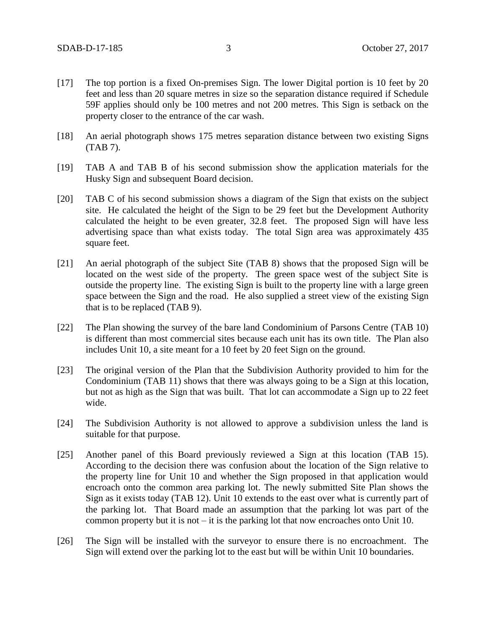- [17] The top portion is a fixed On-premises Sign. The lower Digital portion is 10 feet by 20 feet and less than 20 square metres in size so the separation distance required if Schedule 59F applies should only be 100 metres and not 200 metres. This Sign is setback on the property closer to the entrance of the car wash.
- [18] An aerial photograph shows 175 metres separation distance between two existing Signs (TAB 7).
- [19] TAB A and TAB B of his second submission show the application materials for the Husky Sign and subsequent Board decision.
- [20] TAB C of his second submission shows a diagram of the Sign that exists on the subject site. He calculated the height of the Sign to be 29 feet but the Development Authority calculated the height to be even greater, 32.8 feet. The proposed Sign will have less advertising space than what exists today. The total Sign area was approximately 435 square feet.
- [21] An aerial photograph of the subject Site (TAB 8) shows that the proposed Sign will be located on the west side of the property. The green space west of the subject Site is outside the property line. The existing Sign is built to the property line with a large green space between the Sign and the road. He also supplied a street view of the existing Sign that is to be replaced (TAB 9).
- [22] The Plan showing the survey of the bare land Condominium of Parsons Centre (TAB 10) is different than most commercial sites because each unit has its own title. The Plan also includes Unit 10, a site meant for a 10 feet by 20 feet Sign on the ground.
- [23] The original version of the Plan that the Subdivision Authority provided to him for the Condominium (TAB 11) shows that there was always going to be a Sign at this location, but not as high as the Sign that was built. That lot can accommodate a Sign up to 22 feet wide.
- [24] The Subdivision Authority is not allowed to approve a subdivision unless the land is suitable for that purpose.
- [25] Another panel of this Board previously reviewed a Sign at this location (TAB 15). According to the decision there was confusion about the location of the Sign relative to the property line for Unit 10 and whether the Sign proposed in that application would encroach onto the common area parking lot. The newly submitted Site Plan shows the Sign as it exists today (TAB 12). Unit 10 extends to the east over what is currently part of the parking lot. That Board made an assumption that the parking lot was part of the common property but it is not  $-$  it is the parking lot that now encroaches onto Unit 10.
- [26] The Sign will be installed with the surveyor to ensure there is no encroachment. The Sign will extend over the parking lot to the east but will be within Unit 10 boundaries.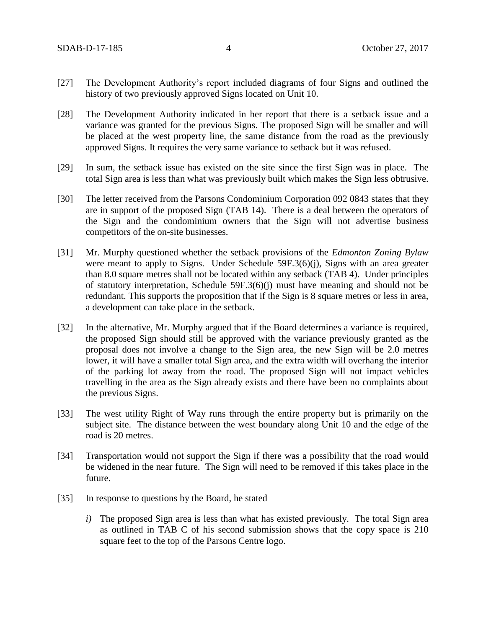- [27] The Development Authority's report included diagrams of four Signs and outlined the history of two previously approved Signs located on Unit 10.
- [28] The Development Authority indicated in her report that there is a setback issue and a variance was granted for the previous Signs. The proposed Sign will be smaller and will be placed at the west property line, the same distance from the road as the previously approved Signs. It requires the very same variance to setback but it was refused.
- [29] In sum, the setback issue has existed on the site since the first Sign was in place. The total Sign area is less than what was previously built which makes the Sign less obtrusive.
- [30] The letter received from the Parsons Condominium Corporation 092 0843 states that they are in support of the proposed Sign (TAB 14). There is a deal between the operators of the Sign and the condominium owners that the Sign will not advertise business competitors of the on-site businesses.
- [31] Mr. Murphy questioned whether the setback provisions of the *Edmonton Zoning Bylaw* were meant to apply to Signs. Under Schedule 59F.3(6)(j), Signs with an area greater than 8.0 square metres shall not be located within any setback (TAB 4). Under principles of statutory interpretation, Schedule 59F.3(6)(j) must have meaning and should not be redundant. This supports the proposition that if the Sign is 8 square metres or less in area, a development can take place in the setback.
- [32] In the alternative, Mr. Murphy argued that if the Board determines a variance is required, the proposed Sign should still be approved with the variance previously granted as the proposal does not involve a change to the Sign area, the new Sign will be 2.0 metres lower, it will have a smaller total Sign area, and the extra width will overhang the interior of the parking lot away from the road. The proposed Sign will not impact vehicles travelling in the area as the Sign already exists and there have been no complaints about the previous Signs.
- [33] The west utility Right of Way runs through the entire property but is primarily on the subject site. The distance between the west boundary along Unit 10 and the edge of the road is 20 metres.
- [34] Transportation would not support the Sign if there was a possibility that the road would be widened in the near future. The Sign will need to be removed if this takes place in the future.
- [35] In response to questions by the Board, he stated
	- *i*) The proposed Sign area is less than what has existed previously. The total Sign area as outlined in TAB C of his second submission shows that the copy space is 210 square feet to the top of the Parsons Centre logo.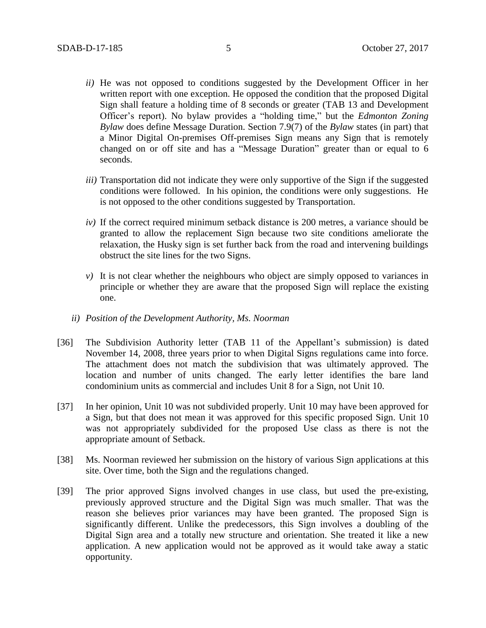- *ii)* He was not opposed to conditions suggested by the Development Officer in her written report with one exception. He opposed the condition that the proposed Digital Sign shall feature a holding time of 8 seconds or greater (TAB 13 and Development Officer's report). No bylaw provides a "holding time," but the *Edmonton Zoning Bylaw* does define Message Duration. Section 7.9(7) of the *Bylaw* states (in part) that a Minor Digital On-premises Off-premises Sign means any Sign that is remotely changed on or off site and has a "Message Duration" greater than or equal to 6 seconds.
- *iii)* Transportation did not indicate they were only supportive of the Sign if the suggested conditions were followed. In his opinion, the conditions were only suggestions. He is not opposed to the other conditions suggested by Transportation.
- *iv)* If the correct required minimum setback distance is 200 metres, a variance should be granted to allow the replacement Sign because two site conditions ameliorate the relaxation, the Husky sign is set further back from the road and intervening buildings obstruct the site lines for the two Signs.
- *v*) It is not clear whether the neighbours who object are simply opposed to variances in principle or whether they are aware that the proposed Sign will replace the existing one.
- *ii) Position of the Development Authority, Ms. Noorman*
- [36] The Subdivision Authority letter (TAB 11 of the Appellant's submission) is dated November 14, 2008, three years prior to when Digital Signs regulations came into force. The attachment does not match the subdivision that was ultimately approved. The location and number of units changed. The early letter identifies the bare land condominium units as commercial and includes Unit 8 for a Sign, not Unit 10.
- [37] In her opinion, Unit 10 was not subdivided properly. Unit 10 may have been approved for a Sign, but that does not mean it was approved for this specific proposed Sign. Unit 10 was not appropriately subdivided for the proposed Use class as there is not the appropriate amount of Setback.
- [38] Ms. Noorman reviewed her submission on the history of various Sign applications at this site. Over time, both the Sign and the regulations changed.
- [39] The prior approved Signs involved changes in use class, but used the pre-existing, previously approved structure and the Digital Sign was much smaller. That was the reason she believes prior variances may have been granted. The proposed Sign is significantly different. Unlike the predecessors, this Sign involves a doubling of the Digital Sign area and a totally new structure and orientation. She treated it like a new application. A new application would not be approved as it would take away a static opportunity.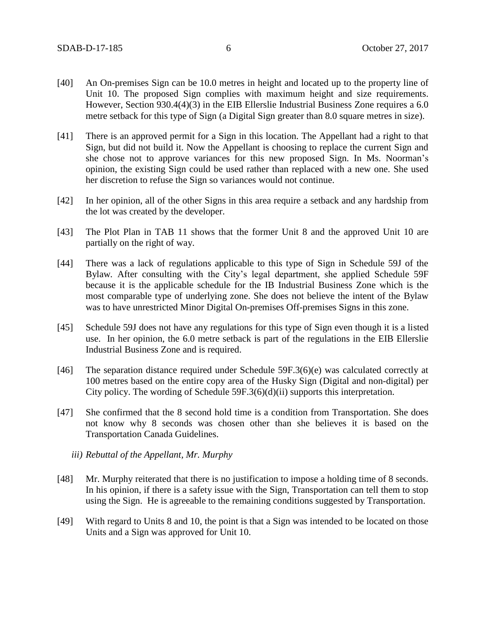- [40] An On-premises Sign can be 10.0 metres in height and located up to the property line of Unit 10. The proposed Sign complies with maximum height and size requirements. However, Section 930.4(4)(3) in the EIB Ellerslie Industrial Business Zone requires a 6.0 metre setback for this type of Sign (a Digital Sign greater than 8.0 square metres in size).
- [41] There is an approved permit for a Sign in this location. The Appellant had a right to that Sign, but did not build it. Now the Appellant is choosing to replace the current Sign and she chose not to approve variances for this new proposed Sign. In Ms. Noorman's opinion, the existing Sign could be used rather than replaced with a new one. She used her discretion to refuse the Sign so variances would not continue.
- [42] In her opinion, all of the other Signs in this area require a setback and any hardship from the lot was created by the developer.
- [43] The Plot Plan in TAB 11 shows that the former Unit 8 and the approved Unit 10 are partially on the right of way.
- [44] There was a lack of regulations applicable to this type of Sign in Schedule 59J of the Bylaw*.* After consulting with the City's legal department, she applied Schedule 59F because it is the applicable schedule for the IB Industrial Business Zone which is the most comparable type of underlying zone. She does not believe the intent of the Bylaw was to have unrestricted Minor Digital On-premises Off-premises Signs in this zone.
- [45] Schedule 59J does not have any regulations for this type of Sign even though it is a listed use. In her opinion, the 6.0 metre setback is part of the regulations in the EIB Ellerslie Industrial Business Zone and is required.
- [46] The separation distance required under Schedule 59F.3(6)(e) was calculated correctly at 100 metres based on the entire copy area of the Husky Sign (Digital and non-digital) per City policy. The wording of Schedule 59F.3(6)(d)(ii) supports this interpretation.
- [47] She confirmed that the 8 second hold time is a condition from Transportation. She does not know why 8 seconds was chosen other than she believes it is based on the Transportation Canada Guidelines.
	- *iii) Rebuttal of the Appellant, Mr. Murphy*
- [48] Mr. Murphy reiterated that there is no justification to impose a holding time of 8 seconds. In his opinion, if there is a safety issue with the Sign, Transportation can tell them to stop using the Sign. He is agreeable to the remaining conditions suggested by Transportation.
- [49] With regard to Units 8 and 10, the point is that a Sign was intended to be located on those Units and a Sign was approved for Unit 10.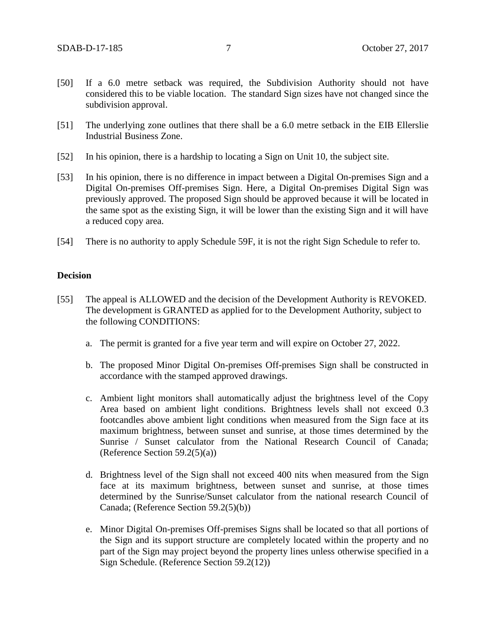- [50] If a 6.0 metre setback was required, the Subdivision Authority should not have considered this to be viable location. The standard Sign sizes have not changed since the subdivision approval.
- [51] The underlying zone outlines that there shall be a 6.0 metre setback in the EIB Ellerslie Industrial Business Zone.
- [52] In his opinion, there is a hardship to locating a Sign on Unit 10, the subject site.
- [53] In his opinion, there is no difference in impact between a Digital On-premises Sign and a Digital On-premises Off-premises Sign. Here, a Digital On-premises Digital Sign was previously approved. The proposed Sign should be approved because it will be located in the same spot as the existing Sign, it will be lower than the existing Sign and it will have a reduced copy area.
- [54] There is no authority to apply Schedule 59F, it is not the right Sign Schedule to refer to.

#### **Decision**

- [55] The appeal is ALLOWED and the decision of the Development Authority is REVOKED. The development is GRANTED as applied for to the Development Authority, subject to the following CONDITIONS:
	- a. The permit is granted for a five year term and will expire on October 27, 2022.
	- b. The proposed Minor Digital On-premises Off-premises Sign shall be constructed in accordance with the stamped approved drawings.
	- c. Ambient light monitors shall automatically adjust the brightness level of the Copy Area based on ambient light conditions. Brightness levels shall not exceed 0.3 footcandles above ambient light conditions when measured from the Sign face at its maximum brightness, between sunset and sunrise, at those times determined by the Sunrise / Sunset calculator from the National Research Council of Canada; (Reference Section  $59.2(5)(a)$ )
	- d. Brightness level of the Sign shall not exceed 400 nits when measured from the Sign face at its maximum brightness, between sunset and sunrise, at those times determined by the Sunrise/Sunset calculator from the national research Council of Canada; (Reference Section 59.2(5)(b))
	- e. Minor Digital On-premises Off-premises Signs shall be located so that all portions of the Sign and its support structure are completely located within the property and no part of the Sign may project beyond the property lines unless otherwise specified in a Sign Schedule. (Reference Section 59.2(12))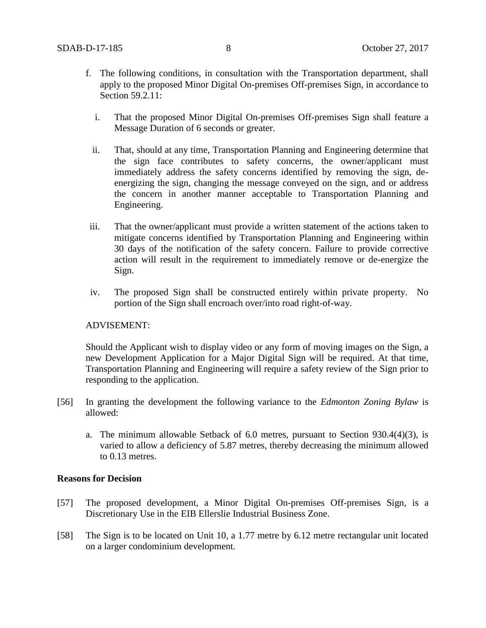- f. The following conditions, in consultation with the Transportation department, shall apply to the proposed Minor Digital On-premises Off-premises Sign, in accordance to Section 59.2.11:
	- i. That the proposed Minor Digital On-premises Off-premises Sign shall feature a Message Duration of 6 seconds or greater.
	- ii. That, should at any time, Transportation Planning and Engineering determine that the sign face contributes to safety concerns, the owner/applicant must immediately address the safety concerns identified by removing the sign, deenergizing the sign, changing the message conveyed on the sign, and or address the concern in another manner acceptable to Transportation Planning and Engineering.
- iii. That the owner/applicant must provide a written statement of the actions taken to mitigate concerns identified by Transportation Planning and Engineering within 30 days of the notification of the safety concern. Failure to provide corrective action will result in the requirement to immediately remove or de-energize the Sign.
- iv. The proposed Sign shall be constructed entirely within private property. No portion of the Sign shall encroach over/into road right-of-way.

## ADVISEMENT:

Should the Applicant wish to display video or any form of moving images on the Sign, a new Development Application for a Major Digital Sign will be required. At that time, Transportation Planning and Engineering will require a safety review of the Sign prior to responding to the application.

- [56] In granting the development the following variance to the *Edmonton Zoning Bylaw* is allowed:
	- a. The minimum allowable Setback of 6.0 metres, pursuant to Section 930.4(4)(3), is varied to allow a deficiency of 5.87 metres, thereby decreasing the minimum allowed to 0.13 metres.

## **Reasons for Decision**

- [57] The proposed development, a Minor Digital On-premises Off-premises Sign, is a Discretionary Use in the EIB Ellerslie Industrial Business Zone.
- [58] The Sign is to be located on Unit 10, a 1.77 metre by 6.12 metre rectangular unit located on a larger condominium development.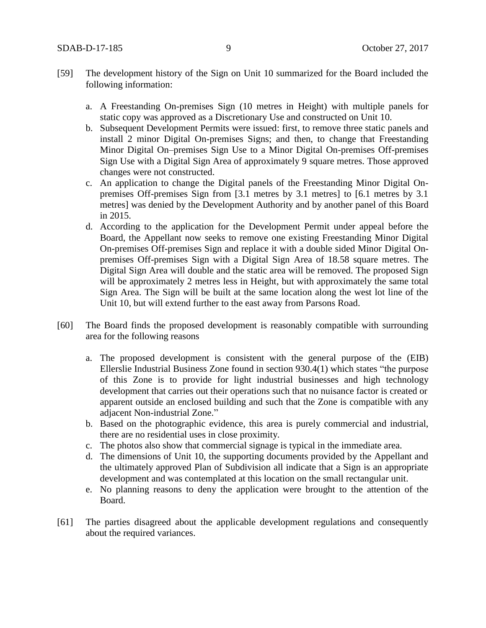- [59] The development history of the Sign on Unit 10 summarized for the Board included the following information:
	- a. A Freestanding On-premises Sign (10 metres in Height) with multiple panels for static copy was approved as a Discretionary Use and constructed on Unit 10.
	- b. Subsequent Development Permits were issued: first, to remove three static panels and install 2 minor Digital On-premises Signs; and then, to change that Freestanding Minor Digital On–premises Sign Use to a Minor Digital On-premises Off-premises Sign Use with a Digital Sign Area of approximately 9 square metres. Those approved changes were not constructed.
	- c. An application to change the Digital panels of the Freestanding Minor Digital Onpremises Off-premises Sign from [3.1 metres by 3.1 metres] to [6.1 metres by 3.1 metres] was denied by the Development Authority and by another panel of this Board in 2015.
	- d. According to the application for the Development Permit under appeal before the Board, the Appellant now seeks to remove one existing Freestanding Minor Digital On-premises Off-premises Sign and replace it with a double sided Minor Digital Onpremises Off-premises Sign with a Digital Sign Area of 18.58 square metres. The Digital Sign Area will double and the static area will be removed. The proposed Sign will be approximately 2 metres less in Height, but with approximately the same total Sign Area. The Sign will be built at the same location along the west lot line of the Unit 10, but will extend further to the east away from Parsons Road.
- [60] The Board finds the proposed development is reasonably compatible with surrounding area for the following reasons
	- a. The proposed development is consistent with the general purpose of the (EIB) Ellerslie Industrial Business Zone found in section 930.4(1) which states "the purpose of this Zone is to provide for light industrial businesses and high technology development that carries out their operations such that no nuisance factor is created or apparent outside an enclosed building and such that the Zone is compatible with any adjacent Non-industrial Zone."
	- b. Based on the photographic evidence, this area is purely commercial and industrial, there are no residential uses in close proximity.
	- c. The photos also show that commercial signage is typical in the immediate area.
	- d. The dimensions of Unit 10, the supporting documents provided by the Appellant and the ultimately approved Plan of Subdivision all indicate that a Sign is an appropriate development and was contemplated at this location on the small rectangular unit.
	- e. No planning reasons to deny the application were brought to the attention of the Board.
- [61] The parties disagreed about the applicable development regulations and consequently about the required variances.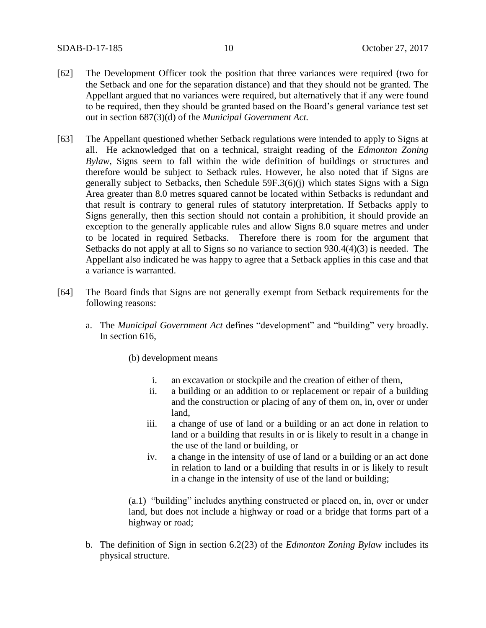- [62] The Development Officer took the position that three variances were required (two for the Setback and one for the separation distance) and that they should not be granted. The Appellant argued that no variances were required, but alternatively that if any were found to be required, then they should be granted based on the Board's general variance test set out in section 687(3)(d) of the *Municipal Government Act.*
- [63] The Appellant questioned whether Setback regulations were intended to apply to Signs at all. He acknowledged that on a technical, straight reading of the *Edmonton Zoning Bylaw*, Signs seem to fall within the wide definition of buildings or structures and therefore would be subject to Setback rules. However, he also noted that if Signs are generally subject to Setbacks, then Schedule 59F.3(6)(j) which states Signs with a Sign Area greater than 8.0 metres squared cannot be located within Setbacks is redundant and that result is contrary to general rules of statutory interpretation. If Setbacks apply to Signs generally, then this section should not contain a prohibition, it should provide an exception to the generally applicable rules and allow Signs 8.0 square metres and under to be located in required Setbacks. Therefore there is room for the argument that Setbacks do not apply at all to Signs so no variance to section 930.4(4)(3) is needed. The Appellant also indicated he was happy to agree that a Setback applies in this case and that a variance is warranted.
- [64] The Board finds that Signs are not generally exempt from Setback requirements for the following reasons:
	- a. The *Municipal Government Act* defines "development" and "building" very broadly. In section 616,

(b) development means

- i. an excavation or stockpile and the creation of either of them,
- ii. a building or an addition to or replacement or repair of a building and the construction or placing of any of them on, in, over or under land,
- iii. a change of use of land or a building or an act done in relation to land or a building that results in or is likely to result in a change in the use of the land or building, or
- iv. a change in the intensity of use of land or a building or an act done in relation to land or a building that results in or is likely to result in a change in the intensity of use of the land or building;

(a.1) "building" includes anything constructed or placed on, in, over or under land, but does not include a highway or road or a bridge that forms part of a highway or road;

b. The definition of Sign in section 6.2(23) of the *Edmonton Zoning Bylaw* includes its physical structure.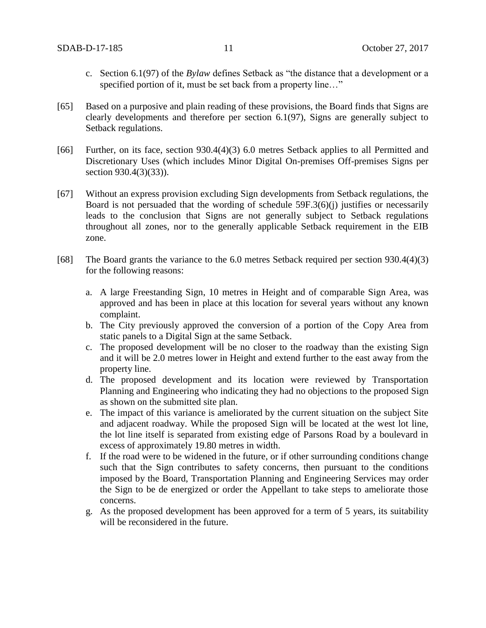- c. Section 6.1(97) of the *Bylaw* defines Setback as "the distance that a development or a specified portion of it, must be set back from a property line..."
- [65] Based on a purposive and plain reading of these provisions, the Board finds that Signs are clearly developments and therefore per section 6.1(97), Signs are generally subject to Setback regulations.
- [66] Further, on its face, section 930.4(4)(3) 6.0 metres Setback applies to all Permitted and Discretionary Uses (which includes Minor Digital On-premises Off-premises Signs per section 930.4(3)(33)).
- [67] Without an express provision excluding Sign developments from Setback regulations, the Board is not persuaded that the wording of schedule 59F.3(6)(j) justifies or necessarily leads to the conclusion that Signs are not generally subject to Setback regulations throughout all zones, nor to the generally applicable Setback requirement in the EIB zone.
- [68] The Board grants the variance to the 6.0 metres Setback required per section 930.4(4)(3) for the following reasons:
	- a. A large Freestanding Sign, 10 metres in Height and of comparable Sign Area, was approved and has been in place at this location for several years without any known complaint.
	- b. The City previously approved the conversion of a portion of the Copy Area from static panels to a Digital Sign at the same Setback.
	- c. The proposed development will be no closer to the roadway than the existing Sign and it will be 2.0 metres lower in Height and extend further to the east away from the property line.
	- d. The proposed development and its location were reviewed by Transportation Planning and Engineering who indicating they had no objections to the proposed Sign as shown on the submitted site plan.
	- e. The impact of this variance is ameliorated by the current situation on the subject Site and adjacent roadway. While the proposed Sign will be located at the west lot line, the lot line itself is separated from existing edge of Parsons Road by a boulevard in excess of approximately 19.80 metres in width.
	- f. If the road were to be widened in the future, or if other surrounding conditions change such that the Sign contributes to safety concerns, then pursuant to the conditions imposed by the Board, Transportation Planning and Engineering Services may order the Sign to be de energized or order the Appellant to take steps to ameliorate those concerns.
	- g. As the proposed development has been approved for a term of 5 years, its suitability will be reconsidered in the future.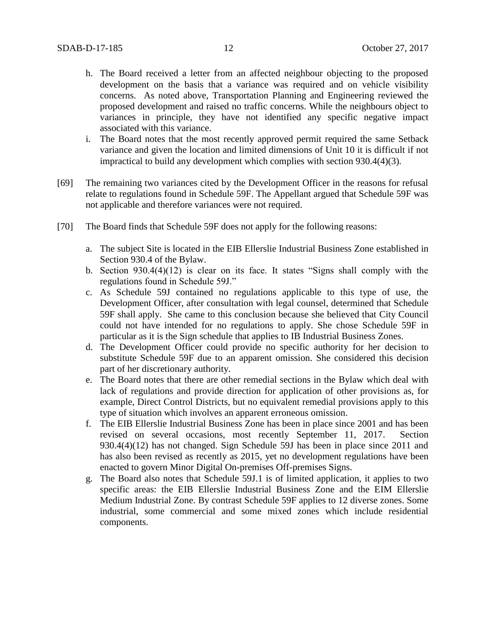- h. The Board received a letter from an affected neighbour objecting to the proposed development on the basis that a variance was required and on vehicle visibility concerns. As noted above, Transportation Planning and Engineering reviewed the proposed development and raised no traffic concerns. While the neighbours object to variances in principle, they have not identified any specific negative impact associated with this variance.
- i. The Board notes that the most recently approved permit required the same Setback variance and given the location and limited dimensions of Unit 10 it is difficult if not impractical to build any development which complies with section 930.4(4)(3).
- [69] The remaining two variances cited by the Development Officer in the reasons for refusal relate to regulations found in Schedule 59F. The Appellant argued that Schedule 59F was not applicable and therefore variances were not required.
- [70] The Board finds that Schedule 59F does not apply for the following reasons:
	- a. The subject Site is located in the EIB Ellerslie Industrial Business Zone established in Section 930.4 of the Bylaw.
	- b. Section 930.4(4)(12) is clear on its face. It states "Signs shall comply with the regulations found in Schedule 59J."
	- c. As Schedule 59J contained no regulations applicable to this type of use, the Development Officer, after consultation with legal counsel, determined that Schedule 59F shall apply. She came to this conclusion because she believed that City Council could not have intended for no regulations to apply. She chose Schedule 59F in particular as it is the Sign schedule that applies to IB Industrial Business Zones.
	- d. The Development Officer could provide no specific authority for her decision to substitute Schedule 59F due to an apparent omission. She considered this decision part of her discretionary authority.
	- e. The Board notes that there are other remedial sections in the Bylaw which deal with lack of regulations and provide direction for application of other provisions as, for example, Direct Control Districts, but no equivalent remedial provisions apply to this type of situation which involves an apparent erroneous omission.
	- f. The EIB Ellerslie Industrial Business Zone has been in place since 2001 and has been revised on several occasions, most recently September 11, 2017. Section 930.4(4)(12) has not changed. Sign Schedule 59J has been in place since 2011 and has also been revised as recently as 2015, yet no development regulations have been enacted to govern Minor Digital On-premises Off-premises Signs.
	- g. The Board also notes that Schedule 59J.1 is of limited application, it applies to two specific areas: the EIB Ellerslie Industrial Business Zone and the EIM Ellerslie Medium Industrial Zone. By contrast Schedule 59F applies to 12 diverse zones. Some industrial, some commercial and some mixed zones which include residential components.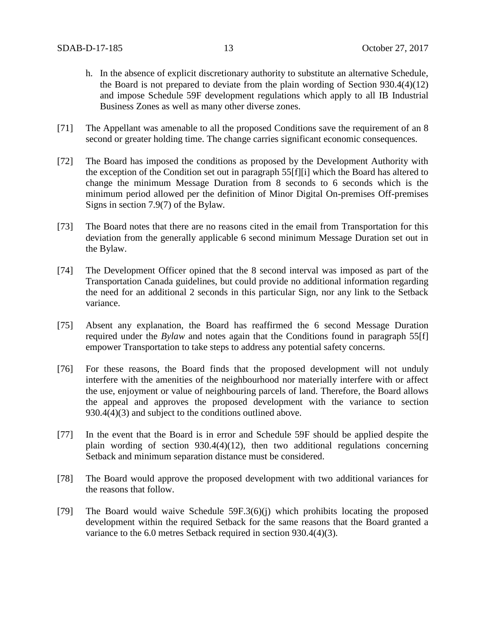- h. In the absence of explicit discretionary authority to substitute an alternative Schedule, the Board is not prepared to deviate from the plain wording of Section 930.4(4)(12) and impose Schedule 59F development regulations which apply to all IB Industrial Business Zones as well as many other diverse zones.
- [71] The Appellant was amenable to all the proposed Conditions save the requirement of an 8 second or greater holding time. The change carries significant economic consequences.
- [72] The Board has imposed the conditions as proposed by the Development Authority with the exception of the Condition set out in paragraph 55[f][i] which the Board has altered to change the minimum Message Duration from 8 seconds to 6 seconds which is the minimum period allowed per the definition of Minor Digital On-premises Off-premises Signs in section 7.9(7) of the Bylaw*.*
- [73] The Board notes that there are no reasons cited in the email from Transportation for this deviation from the generally applicable 6 second minimum Message Duration set out in the Bylaw.
- [74] The Development Officer opined that the 8 second interval was imposed as part of the Transportation Canada guidelines, but could provide no additional information regarding the need for an additional 2 seconds in this particular Sign, nor any link to the Setback variance.
- [75] Absent any explanation, the Board has reaffirmed the 6 second Message Duration required under the *Bylaw* and notes again that the Conditions found in paragraph 55[f] empower Transportation to take steps to address any potential safety concerns.
- [76] For these reasons, the Board finds that the proposed development will not unduly interfere with the amenities of the neighbourhood nor materially interfere with or affect the use, enjoyment or value of neighbouring parcels of land. Therefore, the Board allows the appeal and approves the proposed development with the variance to section 930.4(4)(3) and subject to the conditions outlined above.
- [77] In the event that the Board is in error and Schedule 59F should be applied despite the plain wording of section 930.4(4)(12), then two additional regulations concerning Setback and minimum separation distance must be considered.
- [78] The Board would approve the proposed development with two additional variances for the reasons that follow.
- [79] The Board would waive Schedule 59F.3(6)(j) which prohibits locating the proposed development within the required Setback for the same reasons that the Board granted a variance to the 6.0 metres Setback required in section 930.4(4)(3).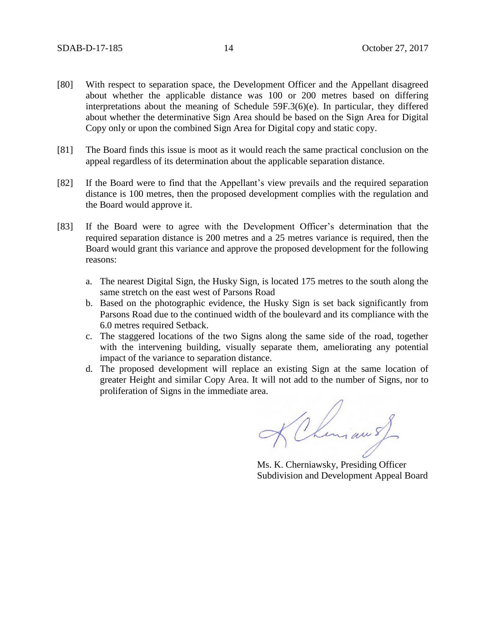- [80] With respect to separation space, the Development Officer and the Appellant disagreed about whether the applicable distance was 100 or 200 metres based on differing interpretations about the meaning of Schedule 59F.3(6)(e). In particular, they differed about whether the determinative Sign Area should be based on the Sign Area for Digital Copy only or upon the combined Sign Area for Digital copy and static copy.
- [81] The Board finds this issue is moot as it would reach the same practical conclusion on the appeal regardless of its determination about the applicable separation distance.
- [82] If the Board were to find that the Appellant's view prevails and the required separation distance is 100 metres, then the proposed development complies with the regulation and the Board would approve it.
- [83] If the Board were to agree with the Development Officer's determination that the required separation distance is 200 metres and a 25 metres variance is required, then the Board would grant this variance and approve the proposed development for the following reasons:
	- a. The nearest Digital Sign, the Husky Sign, is located 175 metres to the south along the same stretch on the east west of Parsons Road
	- b. Based on the photographic evidence, the Husky Sign is set back significantly from Parsons Road due to the continued width of the boulevard and its compliance with the 6.0 metres required Setback.
	- c. The staggered locations of the two Signs along the same side of the road, together with the intervening building, visually separate them, ameliorating any potential impact of the variance to separation distance.
	- d. The proposed development will replace an existing Sign at the same location of greater Height and similar Copy Area. It will not add to the number of Signs, nor to proliferation of Signs in the immediate area.

KChiman sf

Ms. K. Cherniawsky, Presiding Officer Subdivision and Development Appeal Board